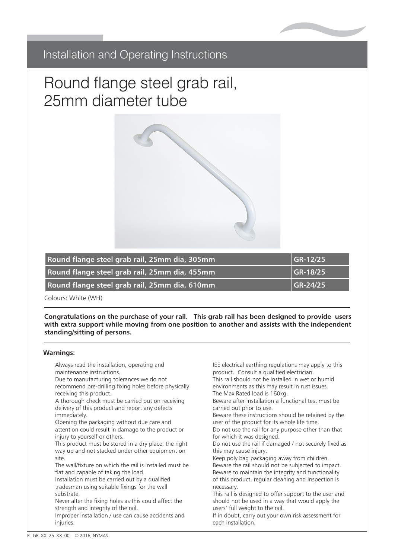

# Installation and Operating Instructions Installation and Operating Instructions

# Plastic flutted grades and the process of the process of the process of the process of the process of the process of the process of the process of the process of the process of the process of the process of the process of Round flange steel grab rail, 25mm diameter tube



| Round flange steel grab rail, 25mm dia, 305mm | $GR-12/25$ |
|-----------------------------------------------|------------|
| Round flange steel grab rail, 25mm dia, 455mm | $GR-18/25$ |
| Round flange steel grab rail, 25mm dia, 610mm | $GR-24/25$ |

**Plastic Fluted Grab Rail 900mm PFGB 36/XX** Colours: White (WH)

with extra support while moving from one position to another and assists with the independent **Standing/sitting of persons. Congratulations on the purchase of your rail. This grab rail has been designed to provide users** 

#### $C^{\text{in}}$  graduations on the purchase of  $\mathcal{C}$  $i$ use to give users extra support which moving from one position to another. It provides support  $i$ **Warnings:**

- Always read the installation, operating and **shippersons.** IEE elect maintenance instructions.
- receiving this product.<br>A discussion we do not do not do not do not do not do not do not do not do not do not do not do not do not do **Warnings:** recommend pre-drilling fixing holes before physically Due to manufacturing tolerances we do not receiving this product.
- A thorough check must be carried out on receiving delivery of this product and report any defects<br>immodiately immediately.
- Opening the packaging without due care and attention could result in damage to the product or injury to yourself or others.
- This product must be stored in a dry place, the right way up and not stacked under other equipment on site.
- The wall/fixture on which the rail is installed must be flat and capable of taking the load.
- Installation must be carried out by a qualified tradesman using suitable fixings for the wall experience in the substrate.
- Never alter the fixing holes as this could affect the strength and integrity of the rail.
- Improper installation / use can cause accidents and injuries.
- IEE electrical earthing regulations may apply to this product. Consult a qualified electrician.
- This rail should not be installed in wet or humid environments as this may result in rust issues.
- The iviax rated load is Tbukg.  $\sim$  1.1 After the fixed the fixed the fixed at the fixed the fixed theory of the fixed theory. The Max Rated load is 160kg.
- Beware after installation a functional test must be carried out prior to use.
- Beware these instructions should be retained by the user of the product for its whole life time.
- Do not use the rail for any purpose other than that for which it was designed.
- Do which it was designed.<br>• Do not use the rail if damaged / not securely fixed as bo not use the rail if c
- Keep poly bag packaging away from children.
- Beware the rail should not be subjected to impact.
- Beware to maintain the integrity and functionality of this product, regular cleaning and inspection is<br>necessary necessary.
- This rail is designed to offer support to the user and should not be used in a way that would apply the users' full weight to the rail.
- If in doubt, carry out your own risk assessment for each installation.